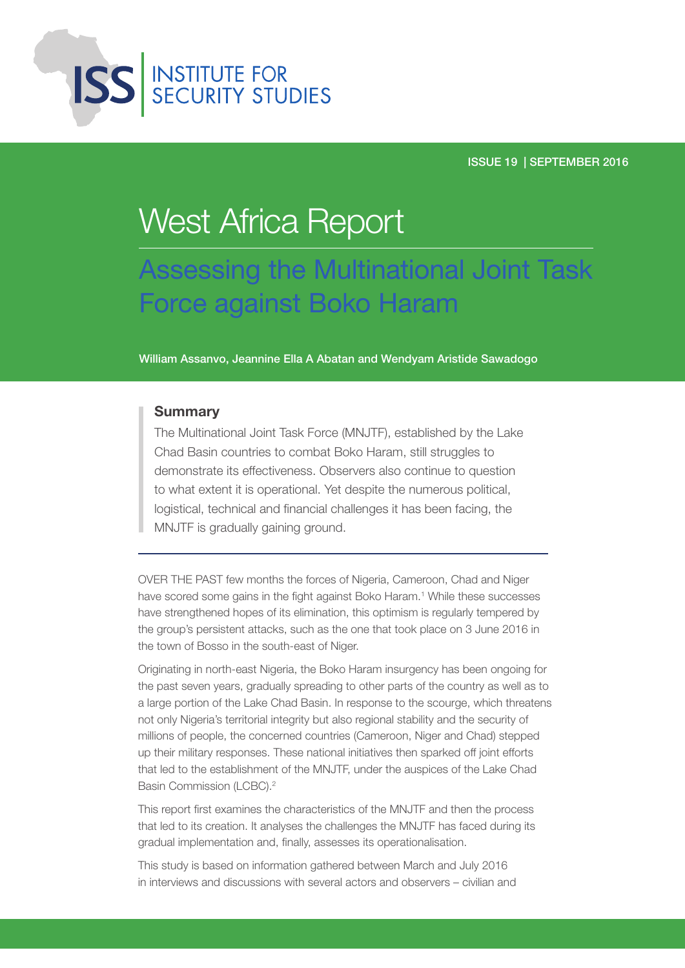

## West Africa Report

Assessing the Multinational Joint Task Force against Boko Haram

William Assanvo, Jeannine Ella A Abatan and Wendyam Aristide Sawadogo

## **Summary**

The Multinational Joint Task Force (MNJTF), established by the Lake Chad Basin countries to combat Boko Haram, still struggles to demonstrate its effectiveness. Observers also continue to question to what extent it is operational. Yet despite the numerous political, logistical, technical and financial challenges it has been facing, the MNJTF is gradually gaining ground.

OVER THE PAST few months the forces of Nigeria, Cameroon, Chad and Niger have scored some gains in the fight against Boko Haram.<sup>1</sup> While these successes have strengthened hopes of its elimination, this optimism is regularly tempered by the group's persistent attacks, such as the one that took place on 3 June 2016 in the town of Bosso in the south-east of Niger.

Originating in north-east Nigeria, the Boko Haram insurgency has been ongoing for the past seven years, gradually spreading to other parts of the country as well as to a large portion of the Lake Chad Basin. In response to the scourge, which threatens not only Nigeria's territorial integrity but also regional stability and the security of millions of people, the concerned countries (Cameroon, Niger and Chad) stepped up their military responses. These national initiatives then sparked off joint efforts that led to the establishment of the MNJTF, under the auspices of the Lake Chad Basin Commission (LCBC).2

This report first examines the characteristics of the MNJTF and then the process that led to its creation. It analyses the challenges the MNJTF has faced during its gradual implementation and, finally, assesses its operationalisation.

This study is based on information gathered between March and July 2016 in interviews and discussions with several actors and observers – civilian and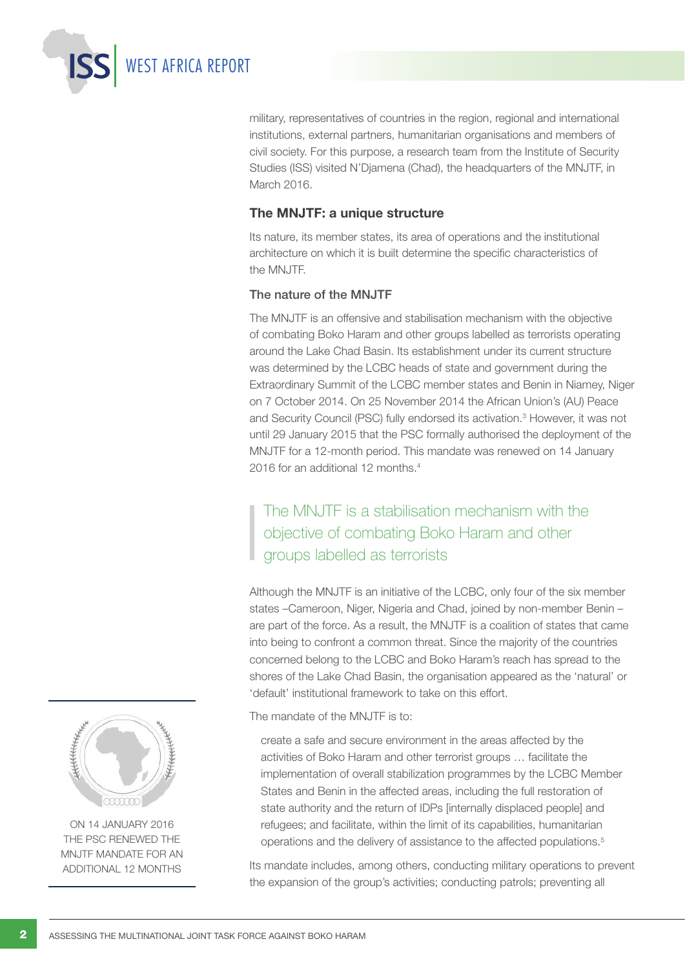military, representatives of countries in the region, regional and international institutions, external partners, humanitarian organisations and members of civil society. For this purpose, a research team from the Institute of Security Studies (ISS) visited N'Djamena (Chad), the headquarters of the MNJTF, in March 2016.

## The MNJTF: a unique structure

Its nature, its member states, its area of operations and the institutional architecture on which it is built determine the specific characteristics of the MNJTF.

## The nature of the MNJTF

WEST AFRICA REPORT

The MNJTF is an offensive and stabilisation mechanism with the objective of combating Boko Haram and other groups labelled as terrorists operating around the Lake Chad Basin. Its establishment under its current structure was determined by the LCBC heads of state and government during the Extraordinary Summit of the LCBC member states and Benin in Niamey, Niger on 7 October 2014. On 25 November 2014 the African Union's (AU) Peace and Security Council (PSC) fully endorsed its activation.3 However, it was not until 29 January 2015 that the PSC formally authorised the deployment of the MNJTF for a 12-month period. This mandate was renewed on 14 January 2016 for an additional 12 months.4

## The MNJTF is a stabilisation mechanism with the objective of combating Boko Haram and other groups labelled as terrorists

Although the MNJTF is an initiative of the LCBC, only four of the six member states –Cameroon, Niger, Nigeria and Chad, joined by non-member Benin – are part of the force. As a result, the MNJTF is a coalition of states that came into being to confront a common threat. Since the majority of the countries concerned belong to the LCBC and Boko Haram's reach has spread to the shores of the Lake Chad Basin, the organisation appeared as the 'natural' or 'default' institutional framework to take on this effort.

The mandate of the MNJTF is to:

create a safe and secure environment in the areas affected by the activities of Boko Haram and other terrorist groups … facilitate the implementation of overall stabilization programmes by the LCBC Member States and Benin in the affected areas, including the full restoration of state authority and the return of IDPs [internally displaced people] and refugees; and facilitate, within the limit of its capabilities, humanitarian operations and the delivery of assistance to the affected populations.<sup>5</sup>

Its mandate includes, among others, conducting military operations to prevent the expansion of the group's activities; conducting patrols; preventing all



On 14 January 2016 the PSC renewed the MNJTF mandate for an additional 12 months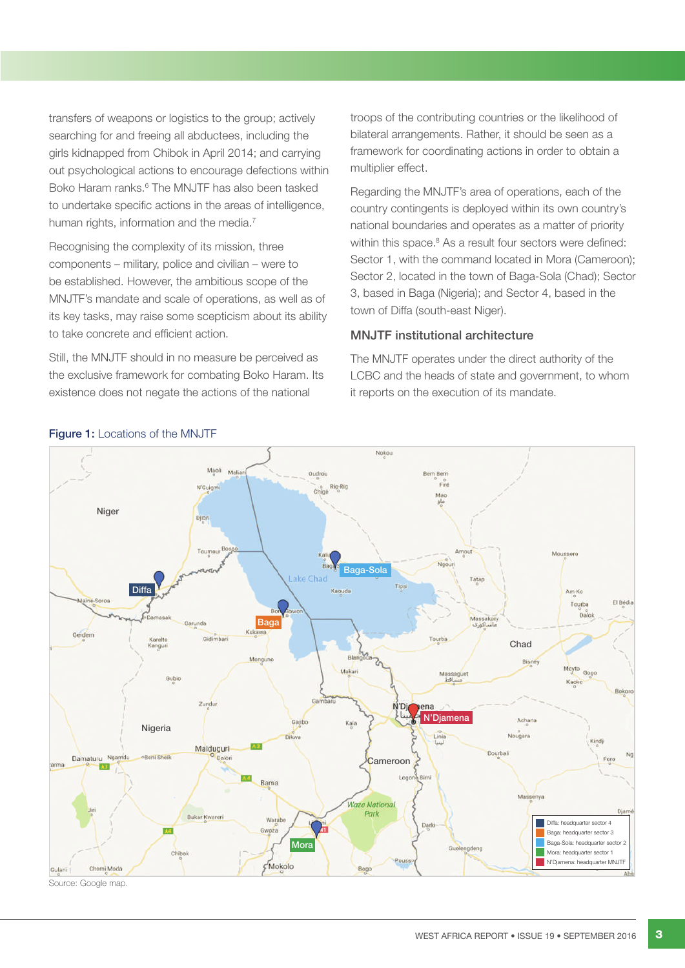transfers of weapons or logistics to the group; actively searching for and freeing all abductees, including the girls kidnapped from Chibok in April 2014; and carrying out psychological actions to encourage defections within Boko Haram ranks.<sup>6</sup> The MNJTF has also been tasked to undertake specific actions in the areas of intelligence, human rights, information and the media.<sup>7</sup>

Recognising the complexity of its mission, three components – military, police and civilian – were to be established. However, the ambitious scope of the MNJTF's mandate and scale of operations, as well as of its key tasks, may raise some scepticism about its ability to take concrete and efficient action.

Still, the MNJTF should in no measure be perceived as the exclusive framework for combating Boko Haram. Its existence does not negate the actions of the national

troops of the contributing countries or the likelihood of bilateral arrangements. Rather, it should be seen as a framework for coordinating actions in order to obtain a multiplier effect.

Regarding the MNJTF's area of operations, each of the country contingents is deployed within its own country's national boundaries and operates as a matter of priority within this space.<sup>8</sup> As a result four sectors were defined: Sector 1, with the command located in Mora (Cameroon); Sector 2, located in the town of Baga-Sola (Chad); Sector 3, based in Baga (Nigeria); and Sector 4, based in the town of Diffa (south-east Niger).

#### MNJTF institutional architecture

The MNJTF operates under the direct authority of the LCBC and the heads of state and government, to whom it reports on the execution of its mandate.



Source: Google map.

## Figure 1: Locations of the MNJTF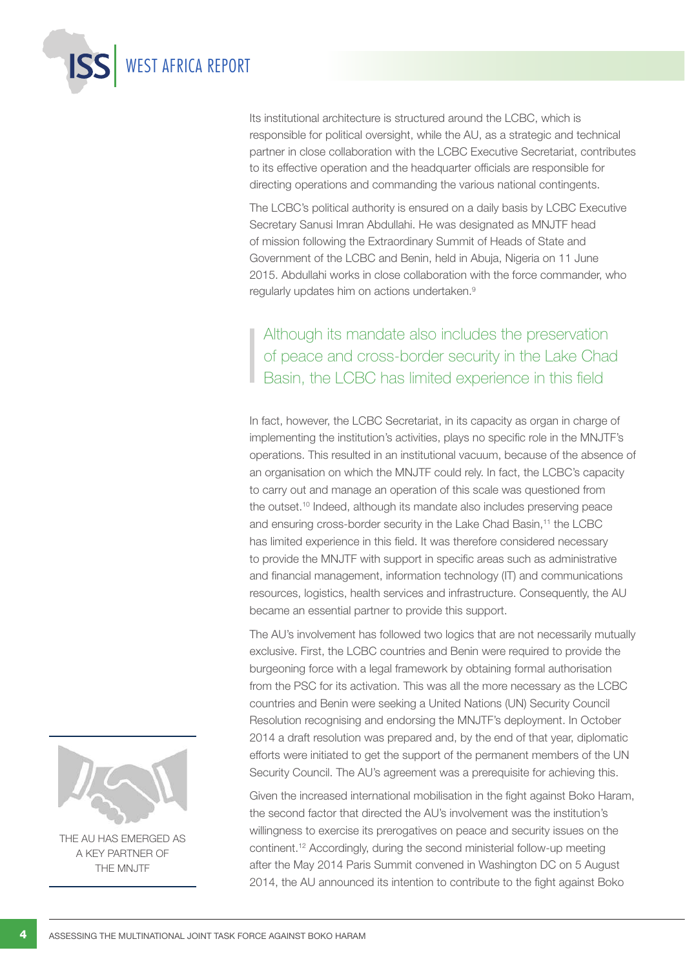

Its institutional architecture is structured around the LCBC, which is responsible for political oversight, while the AU, as a strategic and technical partner in close collaboration with the LCBC Executive Secretariat, contributes to its effective operation and the headquarter officials are responsible for directing operations and commanding the various national contingents.

The LCBC's political authority is ensured on a daily basis by LCBC Executive Secretary Sanusi Imran Abdullahi. He was designated as MNJTF head of mission following the Extraordinary Summit of Heads of State and Government of the LCBC and Benin, held in Abuja, Nigeria on 11 June 2015. Abdullahi works in close collaboration with the force commander, who regularly updates him on actions undertaken.9

## Although its mandate also includes the preservation of peace and cross-border security in the Lake Chad Basin, the LCBC has limited experience in this field

In fact, however, the LCBC Secretariat, in its capacity as organ in charge of implementing the institution's activities, plays no specific role in the MNJTF's operations. This resulted in an institutional vacuum, because of the absence of an organisation on which the MNJTF could rely. In fact, the LCBC's capacity to carry out and manage an operation of this scale was questioned from the outset.<sup>10</sup> Indeed, although its mandate also includes preserving peace and ensuring cross-border security in the Lake Chad Basin,<sup>11</sup> the LCBC has limited experience in this field. It was therefore considered necessary to provide the MNJTF with support in specific areas such as administrative and financial management, information technology (IT) and communications resources, logistics, health services and infrastructure. Consequently, the AU became an essential partner to provide this support.

The AU's involvement has followed two logics that are not necessarily mutually exclusive. First, the LCBC countries and Benin were required to provide the burgeoning force with a legal framework by obtaining formal authorisation from the PSC for its activation. This was all the more necessary as the LCBC countries and Benin were seeking a United Nations (UN) Security Council Resolution recognising and endorsing the MNJTF's deployment. In October 2014 a draft resolution was prepared and, by the end of that year, diplomatic efforts were initiated to get the support of the permanent members of the UN Security Council. The AU's agreement was a prerequisite for achieving this.

Given the increased international mobilisation in the fight against Boko Haram, the second factor that directed the AU's involvement was the institution's willingness to exercise its prerogatives on peace and security issues on the continent.12 Accordingly, during the second ministerial follow-up meeting after the May 2014 Paris Summit convened in Washington DC on 5 August 2014, the AU announced its intention to contribute to the fight against Boko



The AU has emerged as a key partner of the MNJTF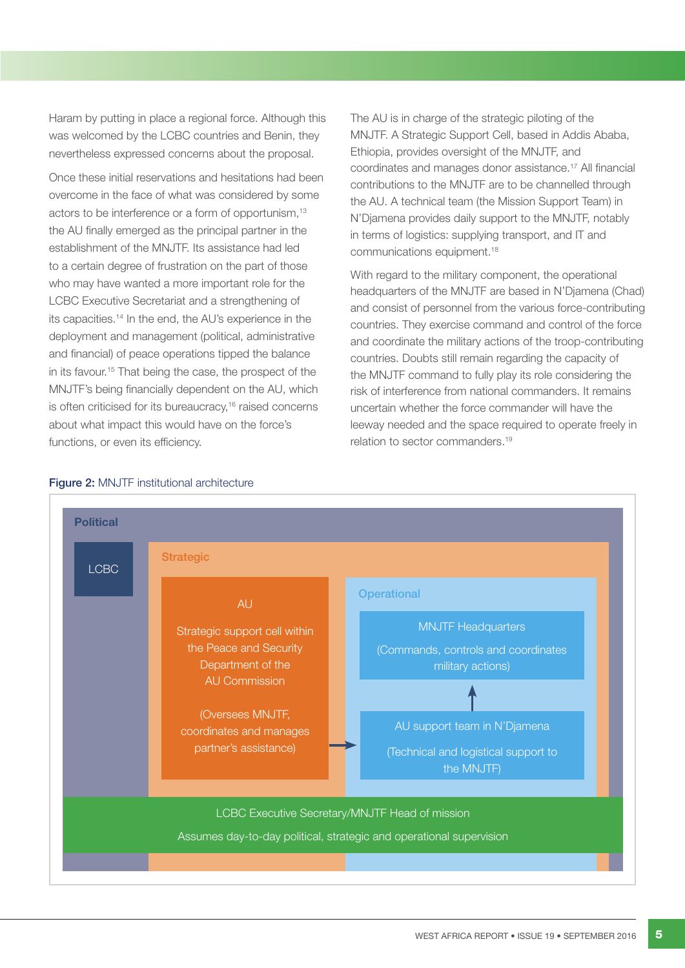Haram by putting in place a regional force. Although this was welcomed by the LCBC countries and Benin, they nevertheless expressed concerns about the proposal.

Once these initial reservations and hesitations had been overcome in the face of what was considered by some actors to be interference or a form of opportunism,<sup>13</sup> the AU finally emerged as the principal partner in the establishment of the MNJTF. Its assistance had led to a certain degree of frustration on the part of those who may have wanted a more important role for the LCBC Executive Secretariat and a strengthening of its capacities.14 In the end, the AU's experience in the deployment and management (political, administrative and financial) of peace operations tipped the balance in its favour.<sup>15</sup> That being the case, the prospect of the MNJTF's being financially dependent on the AU, which is often criticised for its bureaucracy,<sup>16</sup> raised concerns about what impact this would have on the force's functions, or even its efficiency.

The AU is in charge of the strategic piloting of the MNJTF. A Strategic Support Cell, based in Addis Ababa, Ethiopia, provides oversight of the MNJTF, and coordinates and manages donor assistance.17 All financial contributions to the MNJTF are to be channelled through the AU. A technical team (the Mission Support Team) in N'Djamena provides daily support to the MNJTF, notably in terms of logistics: supplying transport, and IT and communications equipment.18

With regard to the military component, the operational headquarters of the MNJTF are based in N'Djamena (Chad) and consist of personnel from the various force-contributing countries. They exercise command and control of the force and coordinate the military actions of the troop-contributing countries. Doubts still remain regarding the capacity of the MNJTF command to fully play its role considering the risk of interference from national commanders. It remains uncertain whether the force commander will have the leeway needed and the space required to operate freely in relation to sector commanders.19



## Figure 2: MNJTF institutional architecture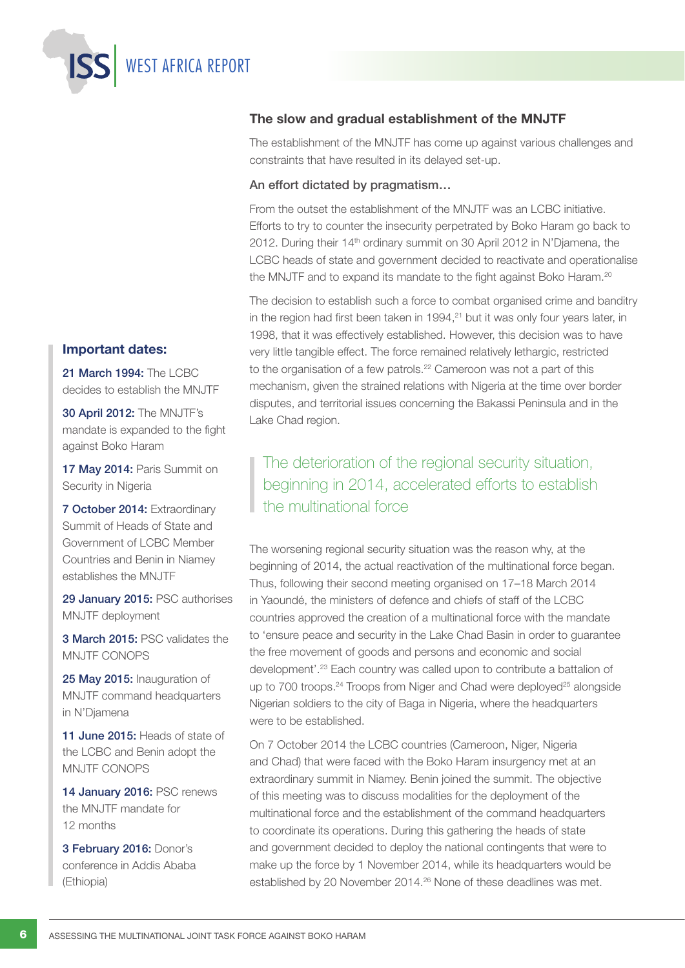WEST AFRICA REPORT

## Important dates:

21 March 1994: The LCBC decides to establish the MNJTF

30 April 2012: The MNJTF's mandate is expanded to the fight against Boko Haram

17 May 2014: Paris Summit on Security in Nigeria

7 October 2014: Extraordinary Summit of Heads of State and Government of LCBC Member Countries and Benin in Niamey establishes the MNJTF

29 January 2015: PSC authorises MNJTF deployment

3 March 2015: PSC validates the MNJTF CONOPS

25 May 2015: Inauguration of MNJTF command headquarters in N'Djamena

11 June 2015: Heads of state of the LCBC and Benin adopt the MNJTF CONOPS

14 January 2016: PSC renews the MNJTF mandate for 12 months

3 February 2016: Donor's conference in Addis Ababa (Ethiopia)

## The slow and gradual establishment of the MNJTF

The establishment of the MNJTF has come up against various challenges and constraints that have resulted in its delayed set-up.

## An effort dictated by pragmatism…

From the outset the establishment of the MNJTF was an LCBC initiative. Efforts to try to counter the insecurity perpetrated by Boko Haram go back to 2012. During their 14<sup>th</sup> ordinary summit on 30 April 2012 in N'Djamena, the LCBC heads of state and government decided to reactivate and operationalise the MNJTF and to expand its mandate to the fight against Boko Haram.<sup>20</sup>

The decision to establish such a force to combat organised crime and banditry in the region had first been taken in  $1994<sup>21</sup>$  but it was only four years later, in 1998, that it was effectively established. However, this decision was to have very little tangible effect. The force remained relatively lethargic, restricted to the organisation of a few patrols.<sup>22</sup> Cameroon was not a part of this mechanism, given the strained relations with Nigeria at the time over border disputes, and territorial issues concerning the Bakassi Peninsula and in the Lake Chad region.

## The deterioration of the regional security situation, beginning in 2014, accelerated efforts to establish the multinational force

The worsening regional security situation was the reason why, at the beginning of 2014, the actual reactivation of the multinational force began. Thus, following their second meeting organised on 17–18 March 2014 in Yaoundé, the ministers of defence and chiefs of staff of the LCBC countries approved the creation of a multinational force with the mandate to 'ensure peace and security in the Lake Chad Basin in order to guarantee the free movement of goods and persons and economic and social development'.23 Each country was called upon to contribute a battalion of up to 700 troops.<sup>24</sup> Troops from Niger and Chad were deployed<sup>25</sup> alongside Nigerian soldiers to the city of Baga in Nigeria, where the headquarters were to be established.

On 7 October 2014 the LCBC countries (Cameroon, Niger, Nigeria and Chad) that were faced with the Boko Haram insurgency met at an extraordinary summit in Niamey. Benin joined the summit. The objective of this meeting was to discuss modalities for the deployment of the multinational force and the establishment of the command headquarters to coordinate its operations. During this gathering the heads of state and government decided to deploy the national contingents that were to make up the force by 1 November 2014, while its headquarters would be established by 20 November 2014.26 None of these deadlines was met.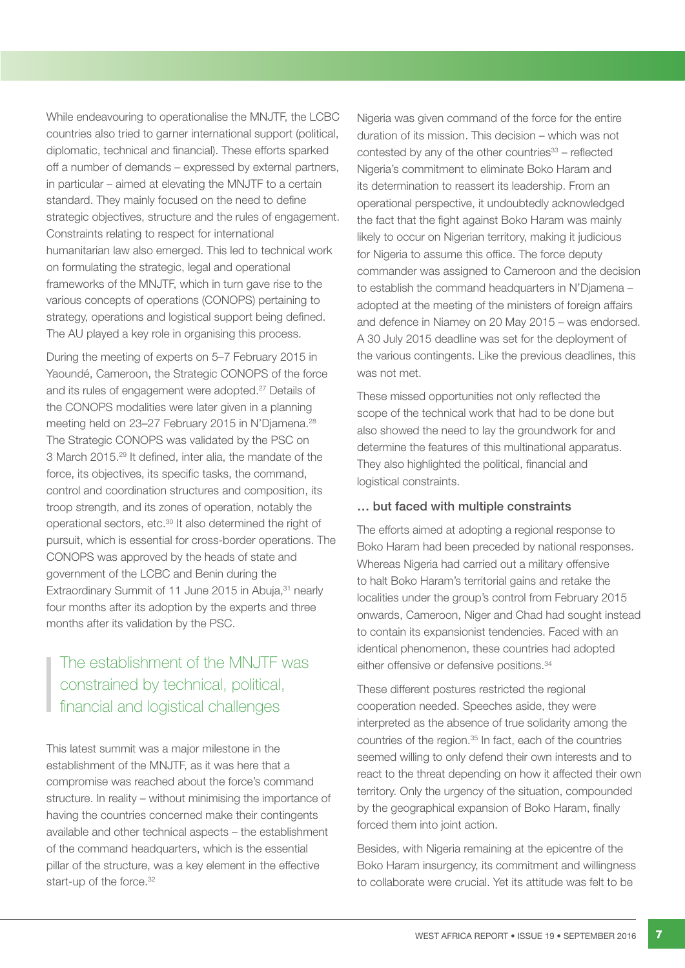While endeavouring to operationalise the MNJTF, the LCBC countries also tried to garner international support (political, diplomatic, technical and financial). These efforts sparked off a number of demands – expressed by external partners, in particular – aimed at elevating the MNJTF to a certain standard. They mainly focused on the need to define strategic objectives, structure and the rules of engagement. Constraints relating to respect for international humanitarian law also emerged. This led to technical work on formulating the strategic, legal and operational frameworks of the MNJTF, which in turn gave rise to the various concepts of operations (CONOPS) pertaining to strategy, operations and logistical support being defined. The AU played a key role in organising this process.

During the meeting of experts on 5–7 February 2015 in Yaoundé, Cameroon, the Strategic CONOPS of the force and its rules of engagement were adopted.27 Details of the CONOPS modalities were later given in a planning meeting held on 23–27 February 2015 in N'Diamena.<sup>28</sup> The Strategic CONOPS was validated by the PSC on 3 March 2015.29 It defined, inter alia, the mandate of the force, its objectives, its specific tasks, the command, control and coordination structures and composition, its troop strength, and its zones of operation, notably the operational sectors, etc.30 It also determined the right of pursuit, which is essential for cross-border operations. The CONOPS was approved by the heads of state and government of the LCBC and Benin during the Extraordinary Summit of 11 June 2015 in Abuja, 31 nearly four months after its adoption by the experts and three months after its validation by the PSC.

## The establishment of the MNJTF was constrained by technical, political, financial and logistical challenges

This latest summit was a major milestone in the establishment of the MNJTF, as it was here that a compromise was reached about the force's command structure. In reality – without minimising the importance of having the countries concerned make their contingents available and other technical aspects – the establishment of the command headquarters, which is the essential pillar of the structure, was a key element in the effective start-up of the force.<sup>32</sup>

Nigeria was given command of the force for the entire duration of its mission. This decision – which was not contested by any of the other countries $33 -$  reflected Nigeria's commitment to eliminate Boko Haram and its determination to reassert its leadership. From an operational perspective, it undoubtedly acknowledged the fact that the fight against Boko Haram was mainly likely to occur on Nigerian territory, making it judicious for Nigeria to assume this office. The force deputy commander was assigned to Cameroon and the decision to establish the command headquarters in N'Djamena – adopted at the meeting of the ministers of foreign affairs and defence in Niamey on 20 May 2015 – was endorsed. A 30 July 2015 deadline was set for the deployment of the various contingents. Like the previous deadlines, this was not met.

These missed opportunities not only reflected the scope of the technical work that had to be done but also showed the need to lay the groundwork for and determine the features of this multinational apparatus. They also highlighted the political, financial and logistical constraints.

## … but faced with multiple constraints

The efforts aimed at adopting a regional response to Boko Haram had been preceded by national responses. Whereas Nigeria had carried out a military offensive to halt Boko Haram's territorial gains and retake the localities under the group's control from February 2015 onwards, Cameroon, Niger and Chad had sought instead to contain its expansionist tendencies. Faced with an identical phenomenon, these countries had adopted either offensive or defensive positions.<sup>34</sup>

These different postures restricted the regional cooperation needed. Speeches aside, they were interpreted as the absence of true solidarity among the countries of the region.35 In fact, each of the countries seemed willing to only defend their own interests and to react to the threat depending on how it affected their own territory. Only the urgency of the situation, compounded by the geographical expansion of Boko Haram, finally forced them into joint action.

Besides, with Nigeria remaining at the epicentre of the Boko Haram insurgency, its commitment and willingness to collaborate were crucial. Yet its attitude was felt to be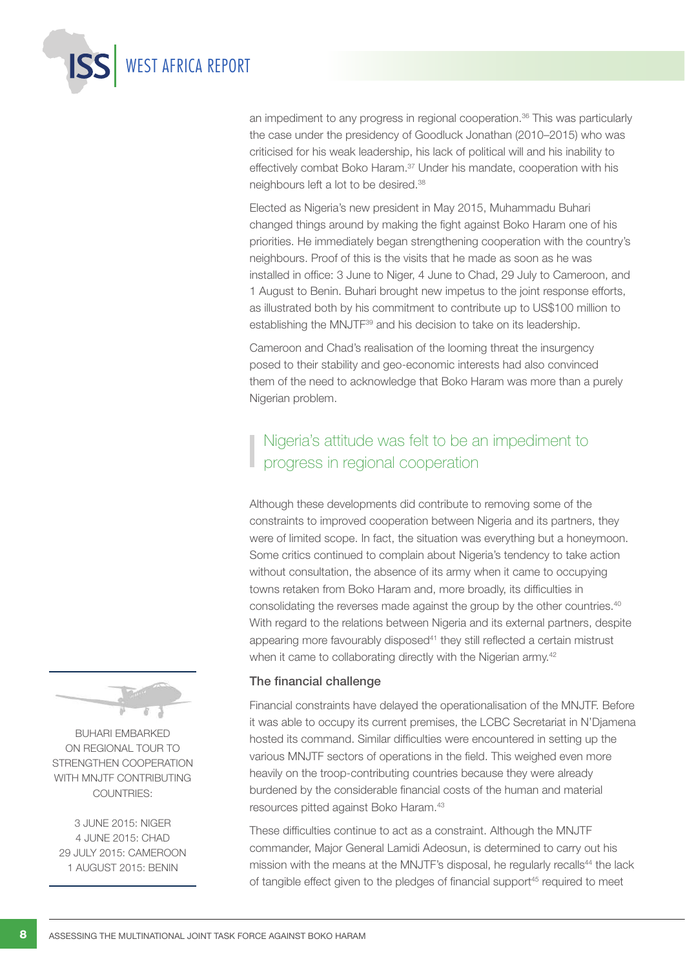

an impediment to any progress in regional cooperation.<sup>36</sup> This was particularly the case under the presidency of Goodluck Jonathan (2010–2015) who was criticised for his weak leadership, his lack of political will and his inability to effectively combat Boko Haram.<sup>37</sup> Under his mandate, cooperation with his neighbours left a lot to be desired.38

Elected as Nigeria's new president in May 2015, Muhammadu Buhari changed things around by making the fight against Boko Haram one of his priorities. He immediately began strengthening cooperation with the country's neighbours. Proof of this is the visits that he made as soon as he was installed in office: 3 June to Niger, 4 June to Chad, 29 July to Cameroon, and 1 August to Benin. Buhari brought new impetus to the joint response efforts, as illustrated both by his commitment to contribute up to US\$100 million to establishing the MNJTF<sup>39</sup> and his decision to take on its leadership.

Cameroon and Chad's realisation of the looming threat the insurgency posed to their stability and geo-economic interests had also convinced them of the need to acknowledge that Boko Haram was more than a purely Nigerian problem.

## Nigeria's attitude was felt to be an impediment to progress in regional cooperation

Although these developments did contribute to removing some of the constraints to improved cooperation between Nigeria and its partners, they were of limited scope. In fact, the situation was everything but a honeymoon. Some critics continued to complain about Nigeria's tendency to take action without consultation, the absence of its army when it came to occupying towns retaken from Boko Haram and, more broadly, its difficulties in consolidating the reverses made against the group by the other countries.40 With regard to the relations between Nigeria and its external partners, despite appearing more favourably disposed<sup>41</sup> they still reflected a certain mistrust when it came to collaborating directly with the Nigerian army.<sup>42</sup>

## The financial challenge

Financial constraints have delayed the operationalisation of the MNJTF. Before it was able to occupy its current premises, the LCBC Secretariat in N'Djamena hosted its command. Similar difficulties were encountered in setting up the various MNJTF sectors of operations in the field. This weighed even more heavily on the troop-contributing countries because they were already burdened by the considerable financial costs of the human and material resources pitted against Boko Haram.43

These difficulties continue to act as a constraint. Although the MNJTF commander, Major General Lamidi Adeosun, is determined to carry out his mission with the means at the MNJTF's disposal, he regularly recalls<sup>44</sup> the lack of tangible effect given to the pledges of financial support<sup>45</sup> required to meet



Buhari embarked on regional tour to strengthen cooperation WITH MNJTF CONTRIBUTING countries:

3 June 2015: Niger 4 June 2015: Chad 29 July 2015: Cameroon 1 August 2015: Benin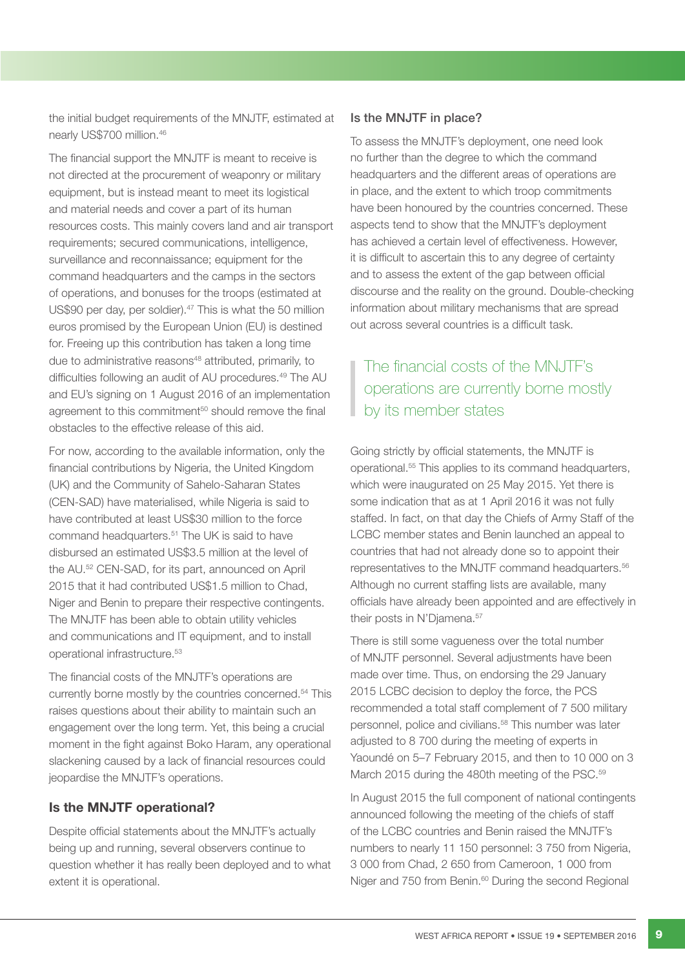the initial budget requirements of the MNJTF, estimated at nearly US\$700 million.46

The financial support the MNJTF is meant to receive is not directed at the procurement of weaponry or military equipment, but is instead meant to meet its logistical and material needs and cover a part of its human resources costs. This mainly covers land and air transport requirements; secured communications, intelligence, surveillance and reconnaissance; equipment for the command headquarters and the camps in the sectors of operations, and bonuses for the troops (estimated at US\$90 per day, per soldier).<sup>47</sup> This is what the 50 million euros promised by the European Union (EU) is destined for. Freeing up this contribution has taken a long time due to administrative reasons<sup>48</sup> attributed, primarily, to difficulties following an audit of AU procedures.49 The AU and EU's signing on 1 August 2016 of an implementation agreement to this commitment<sup>50</sup> should remove the final obstacles to the effective release of this aid.

For now, according to the available information, only the financial contributions by Nigeria, the United Kingdom (UK) and the Community of Sahelo-Saharan States (CEN-SAD) have materialised, while Nigeria is said to have contributed at least US\$30 million to the force command headquarters.<sup>51</sup> The UK is said to have disbursed an estimated US\$3.5 million at the level of the AU.52 CEN-SAD, for its part, announced on April 2015 that it had contributed US\$1.5 million to Chad, Niger and Benin to prepare their respective contingents. The MNJTF has been able to obtain utility vehicles and communications and IT equipment, and to install operational infrastructure.53

The financial costs of the MNJTF's operations are currently borne mostly by the countries concerned.54 This raises questions about their ability to maintain such an engagement over the long term. Yet, this being a crucial moment in the fight against Boko Haram, any operational slackening caused by a lack of financial resources could jeopardise the MNJTF's operations.

## Is the MNJTF operational?

Despite official statements about the MNJTF's actually being up and running, several observers continue to question whether it has really been deployed and to what extent it is operational.

## Is the MNJTF in place?

To assess the MNJTF's deployment, one need look no further than the degree to which the command headquarters and the different areas of operations are in place, and the extent to which troop commitments have been honoured by the countries concerned. These aspects tend to show that the MNJTF's deployment has achieved a certain level of effectiveness. However, it is difficult to ascertain this to any degree of certainty and to assess the extent of the gap between official discourse and the reality on the ground. Double-checking information about military mechanisms that are spread out across several countries is a difficult task.

## The financial costs of the MNJTF's operations are currently borne mostly by its member states

Going strictly by official statements, the MNJTF is operational.55 This applies to its command headquarters, which were inaugurated on 25 May 2015. Yet there is some indication that as at 1 April 2016 it was not fully staffed. In fact, on that day the Chiefs of Army Staff of the LCBC member states and Benin launched an appeal to countries that had not already done so to appoint their representatives to the MNJTF command headquarters.56 Although no current staffing lists are available, many officials have already been appointed and are effectively in their posts in N'Djamena.<sup>57</sup>

There is still some vagueness over the total number of MNJTF personnel. Several adjustments have been made over time. Thus, on endorsing the 29 January 2015 LCBC decision to deploy the force, the PCS recommended a total staff complement of 7 500 military personnel, police and civilians.58 This number was later adjusted to 8 700 during the meeting of experts in Yaoundé on 5–7 February 2015, and then to 10 000 on 3 March 2015 during the 480th meeting of the PSC.<sup>59</sup>

In August 2015 the full component of national contingents announced following the meeting of the chiefs of staff of the LCBC countries and Benin raised the MNJTF's numbers to nearly 11 150 personnel: 3 750 from Nigeria, 3 000 from Chad, 2 650 from Cameroon, 1 000 from Niger and 750 from Benin.<sup>60</sup> During the second Regional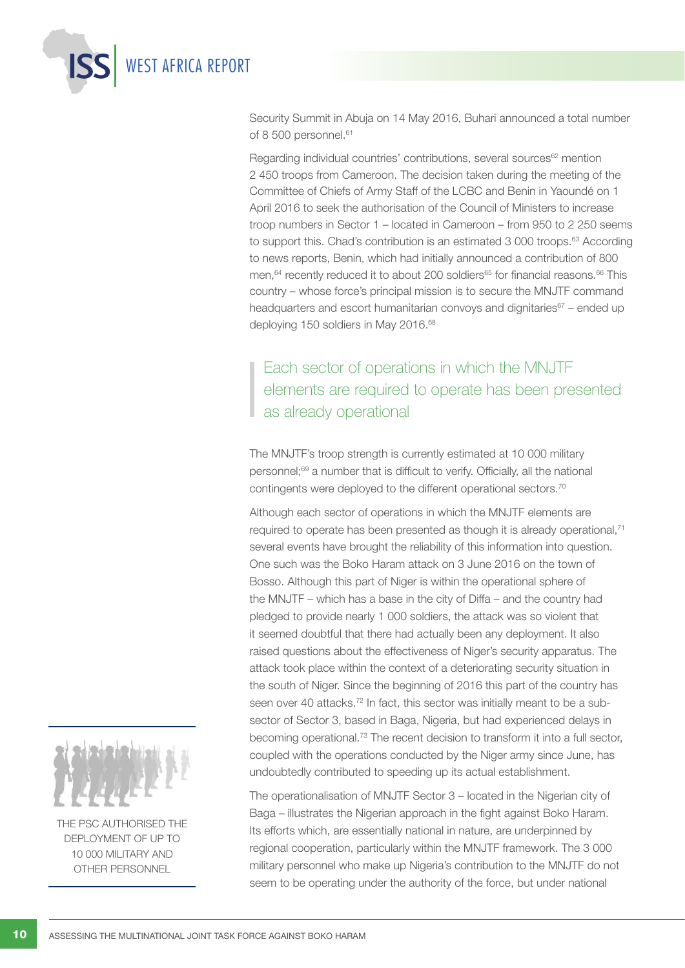

Security Summit in Abuja on 14 May 2016, Buhari announced a total number of 8 500 personnel.<sup>61</sup>

Regarding individual countries' contributions, several sources<sup>62</sup> mention 2 450 troops from Cameroon. The decision taken during the meeting of the Committee of Chiefs of Army Staff of the LCBC and Benin in Yaoundé on 1 April 2016 to seek the authorisation of the Council of Ministers to increase troop numbers in Sector 1 – located in Cameroon – from 950 to 2 250 seems to support this. Chad's contribution is an estimated 3 000 troops.<sup>63</sup> According to news reports, Benin, which had initially announced a contribution of 800 men.<sup>64</sup> recently reduced it to about 200 soldiers<sup>65</sup> for financial reasons.<sup>66</sup> This country – whose force's principal mission is to secure the MNJTF command headquarters and escort humanitarian convoys and dignitaries<sup>67</sup> – ended up deploying 150 soldiers in May 2016.<sup>68</sup>

## Each sector of operations in which the MNJTF elements are required to operate has been presented as already operational

The MNJTF's troop strength is currently estimated at 10 000 military personnel;69 a number that is difficult to verify. Officially, all the national contingents were deployed to the different operational sectors.70

Although each sector of operations in which the MNJTF elements are required to operate has been presented as though it is already operational,<sup>71</sup> several events have brought the reliability of this information into question. One such was the Boko Haram attack on 3 June 2016 on the town of Bosso. Although this part of Niger is within the operational sphere of the MNJTF – which has a base in the city of Diffa – and the country had pledged to provide nearly 1 000 soldiers, the attack was so violent that it seemed doubtful that there had actually been any deployment. It also raised questions about the effectiveness of Niger's security apparatus. The attack took place within the context of a deteriorating security situation in the south of Niger. Since the beginning of 2016 this part of the country has seen over 40 attacks.<sup>72</sup> In fact, this sector was initially meant to be a subsector of Sector 3, based in Baga, Nigeria, but had experienced delays in becoming operational.73 The recent decision to transform it into a full sector, coupled with the operations conducted by the Niger army since June, has undoubtedly contributed to speeding up its actual establishment.

The operationalisation of MNJTF Sector 3 – located in the Nigerian city of Baga – illustrates the Nigerian approach in the fight against Boko Haram. Its efforts which, are essentially national in nature, are underpinned by regional cooperation, particularly within the MNJTF framework. The 3 000 military personnel who make up Nigeria's contribution to the MNJTF do not seem to be operating under the authority of the force, but under national



THE PSC AUTHORISED THE deployment of up to 10 000 military and other personnel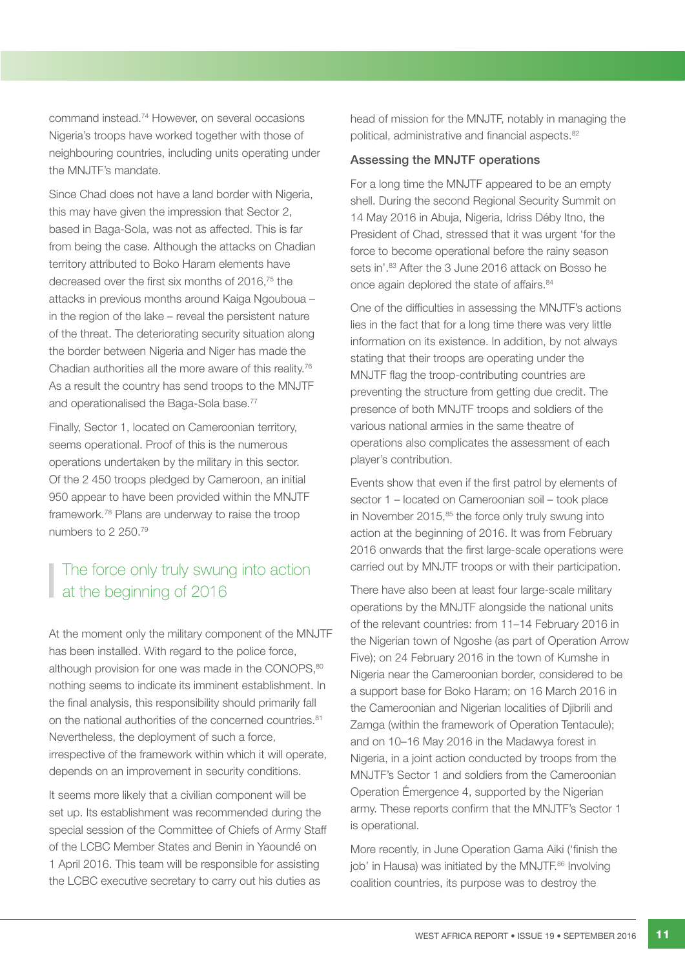command instead.74 However, on several occasions Nigeria's troops have worked together with those of neighbouring countries, including units operating under the MNJTF's mandate.

Since Chad does not have a land border with Nigeria, this may have given the impression that Sector 2, based in Baga-Sola, was not as affected. This is far from being the case. Although the attacks on Chadian territory attributed to Boko Haram elements have decreased over the first six months of 2016,75 the attacks in previous months around Kaiga Ngouboua – in the region of the lake – reveal the persistent nature of the threat. The deteriorating security situation along the border between Nigeria and Niger has made the Chadian authorities all the more aware of this reality.76 As a result the country has send troops to the MNJTF and operationalised the Baga-Sola base.<sup>77</sup>

Finally, Sector 1, located on Cameroonian territory, seems operational. Proof of this is the numerous operations undertaken by the military in this sector. Of the 2 450 troops pledged by Cameroon, an initial 950 appear to have been provided within the MNJTF framework.78 Plans are underway to raise the troop numbers to 2 250.79

## The force only truly swung into action at the beginning of 2016

At the moment only the military component of the MNJTF has been installed. With regard to the police force, although provision for one was made in the CONOPS,<sup>80</sup> nothing seems to indicate its imminent establishment. In the final analysis, this responsibility should primarily fall on the national authorities of the concerned countries.<sup>81</sup> Nevertheless, the deployment of such a force, irrespective of the framework within which it will operate, depends on an improvement in security conditions.

It seems more likely that a civilian component will be set up. Its establishment was recommended during the special session of the Committee of Chiefs of Army Staff of the LCBC Member States and Benin in Yaoundé on 1 April 2016. This team will be responsible for assisting the LCBC executive secretary to carry out his duties as

head of mission for the MNJTF, notably in managing the political, administrative and financial aspects.<sup>82</sup>

## Assessing the MNJTF operations

For a long time the MNJTF appeared to be an empty shell. During the second Regional Security Summit on 14 May 2016 in Abuja, Nigeria, Idriss Déby Itno, the President of Chad, stressed that it was urgent 'for the force to become operational before the rainy season sets in'.<sup>83</sup> After the 3 June 2016 attack on Bosso he once again deplored the state of affairs.<sup>84</sup>

One of the difficulties in assessing the MNJTF's actions lies in the fact that for a long time there was very little information on its existence. In addition, by not always stating that their troops are operating under the MNJTF flag the troop-contributing countries are preventing the structure from getting due credit. The presence of both MNJTF troops and soldiers of the various national armies in the same theatre of operations also complicates the assessment of each player's contribution.

Events show that even if the first patrol by elements of sector 1 – located on Cameroonian soil – took place in November  $2015$ , $85$  the force only truly swung into action at the beginning of 2016. It was from February 2016 onwards that the first large-scale operations were carried out by MNJTF troops or with their participation.

There have also been at least four large-scale military operations by the MNJTF alongside the national units of the relevant countries: from 11–14 February 2016 in the Nigerian town of Ngoshe (as part of Operation Arrow Five); on 24 February 2016 in the town of Kumshe in Nigeria near the Cameroonian border, considered to be a support base for Boko Haram; on 16 March 2016 in the Cameroonian and Nigerian localities of Djibrili and Zamga (within the framework of Operation Tentacule); and on 10–16 May 2016 in the Madawya forest in Nigeria, in a joint action conducted by troops from the MNJTF's Sector 1 and soldiers from the Cameroonian Operation Émergence 4, supported by the Nigerian army. These reports confirm that the MNJTF's Sector 1 is operational.

More recently, in June Operation Gama Aiki ('finish the job' in Hausa) was initiated by the MNJTF.<sup>86</sup> Involving coalition countries, its purpose was to destroy the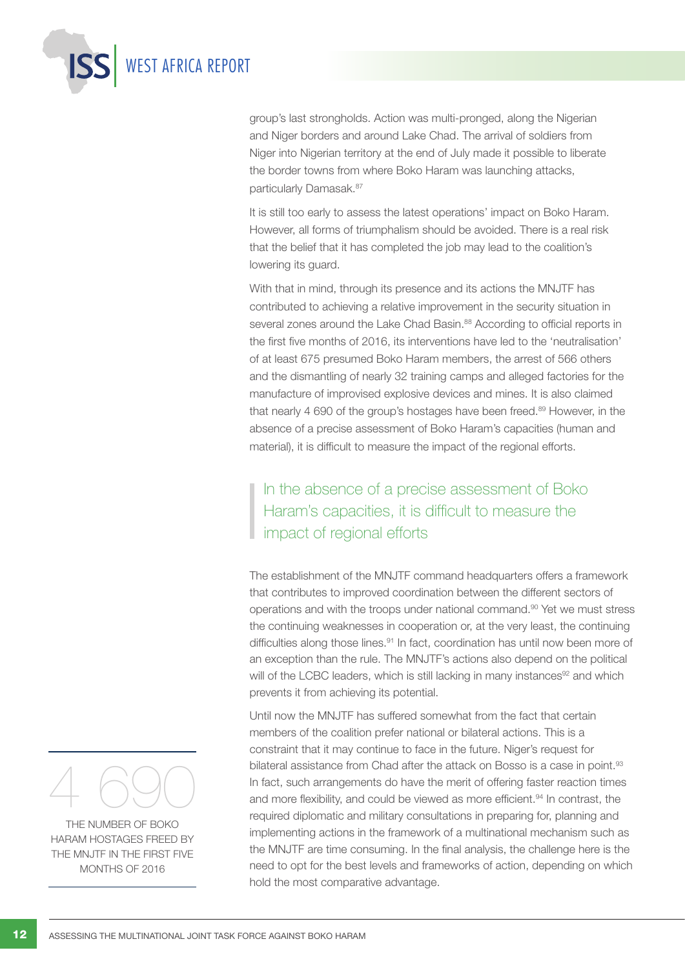

group's last strongholds. Action was multi-pronged, along the Nigerian and Niger borders and around Lake Chad. The arrival of soldiers from Niger into Nigerian territory at the end of July made it possible to liberate the border towns from where Boko Haram was launching attacks, particularly Damasak.<sup>87</sup>

It is still too early to assess the latest operations' impact on Boko Haram. However, all forms of triumphalism should be avoided. There is a real risk that the belief that it has completed the job may lead to the coalition's lowering its guard.

With that in mind, through its presence and its actions the MNJTF has contributed to achieving a relative improvement in the security situation in several zones around the Lake Chad Basin.<sup>88</sup> According to official reports in the first five months of 2016, its interventions have led to the 'neutralisation' of at least 675 presumed Boko Haram members, the arrest of 566 others and the dismantling of nearly 32 training camps and alleged factories for the manufacture of improvised explosive devices and mines. It is also claimed that nearly 4 690 of the group's hostages have been freed.<sup>89</sup> However, in the absence of a precise assessment of Boko Haram's capacities (human and material), it is difficult to measure the impact of the regional efforts.

## In the absence of a precise assessment of Boko Haram's capacities, it is difficult to measure the impact of regional efforts

The establishment of the MNJTF command headquarters offers a framework that contributes to improved coordination between the different sectors of operations and with the troops under national command.90 Yet we must stress the continuing weaknesses in cooperation or, at the very least, the continuing difficulties along those lines.<sup>91</sup> In fact, coordination has until now been more of an exception than the rule. The MNJTF's actions also depend on the political will of the LCBC leaders, which is still lacking in many instances<sup>92</sup> and which prevents it from achieving its potential.

Until now the MNJTF has suffered somewhat from the fact that certain members of the coalition prefer national or bilateral actions. This is a constraint that it may continue to face in the future. Niger's request for bilateral assistance from Chad after the attack on Bosso is a case in point.<sup>93</sup> In fact, such arrangements do have the merit of offering faster reaction times and more flexibility, and could be viewed as more efficient.<sup>94</sup> In contrast, the required diplomatic and military consultations in preparing for, planning and implementing actions in the framework of a multinational mechanism such as the MNJTF are time consuming. In the final analysis, the challenge here is the need to opt for the best levels and frameworks of action, depending on which hold the most comparative advantage.



The number of Boko Haram hostages freed by the MNJTF in the first five months of 2016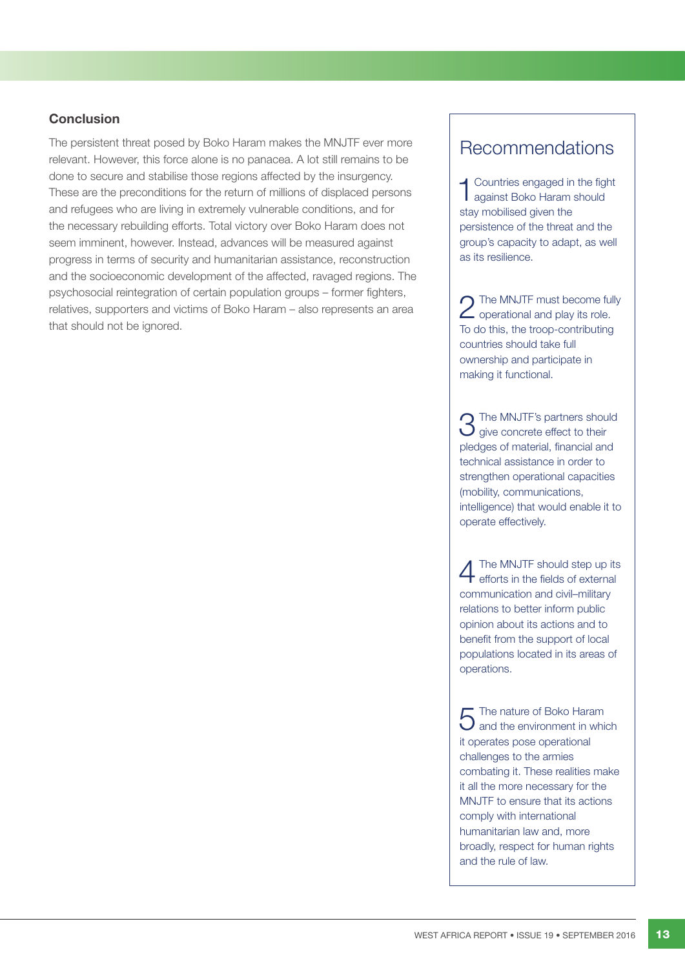## **Conclusion**

The persistent threat posed by Boko Haram makes the MNJTF ever more relevant. However, this force alone is no panacea. A lot still remains to be done to secure and stabilise those regions affected by the insurgency. These are the preconditions for the return of millions of displaced persons and refugees who are living in extremely vulnerable conditions, and for the necessary rebuilding efforts. Total victory over Boko Haram does not seem imminent, however. Instead, advances will be measured against progress in terms of security and humanitarian assistance, reconstruction and the socioeconomic development of the affected, ravaged regions. The psychosocial reintegration of certain population groups – former fighters, relatives, supporters and victims of Boko Haram – also represents an area that should not be ignored.

## Recommendations

1Countries engaged in the fight against Boko Haram should stay mobilised given the persistence of the threat and the group's capacity to adapt, as well as its resilience.

2 The MNJTF must become fully<br>2 operational and play its role. To do this, the troop-contributing countries should take full ownership and participate in making it functional.

3 The MNJTF's partners should give concrete effect to their pledges of material, financial and technical assistance in order to strengthen operational capacities (mobility, communications, intelligence) that would enable it to operate effectively.

4 The MNJTF should step up its efforts in the fields of external communication and civil–military relations to better inform public opinion about its actions and to benefit from the support of local populations located in its areas of operations.

 $5$  The nature of Boko Haram<br>and the environment in which it operates pose operational challenges to the armies combating it. These realities make it all the more necessary for the MNJTF to ensure that its actions comply with international humanitarian law and, more broadly, respect for human rights and the rule of law.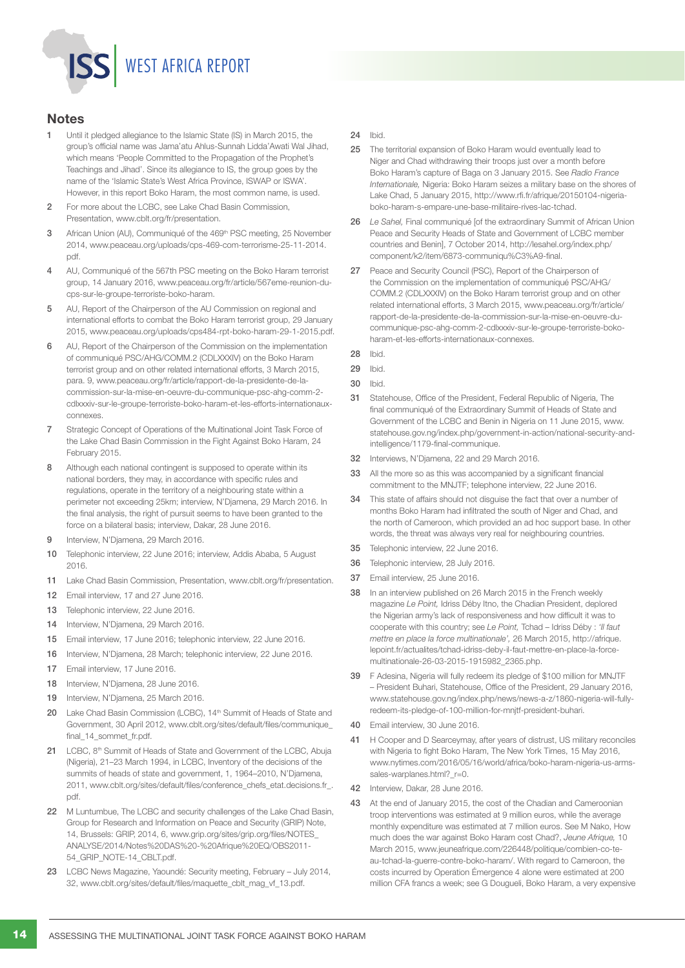# WEST AFRICA REPORT

## **Notes**

- 1 Until it pledged allegiance to the Islamic State (IS) in March 2015, the group's official name was Jama'atu Ahlus-Sunnah Lidda'Awati Wal Jihad, which means 'People Committed to the Propagation of the Prophet's Teachings and Jihad'. Since its allegiance to IS, the group goes by the name of the 'Islamic State's West Africa Province, ISWAP or ISWA'. However, in this report Boko Haram, the most common name, is used.
- 2 For more about the LCBC, see Lake Chad Basin Commission, Presentation, www.cblt.org/fr/presentation.
- 3 African Union (AU), Communiqué of the 469<sup>th</sup> PSC meeting, 25 November 2014, www.peaceau.org/uploads/cps-469-com-terrorisme-25-11-2014. pdf.
- 4 AU, Communiqué of the 567th PSC meeting on the Boko Haram terrorist group, 14 January 2016, www.peaceau.org/fr/article/567eme-reunion-ducps-sur-le-groupe-terroriste-boko-haram.
- 5 AU, Report of the Chairperson of the AU Commission on regional and international efforts to combat the Boko Haram terrorist group, 29 January 2015, www.peaceau.org/uploads/cps484-rpt-boko-haram-29-1-2015.pdf.
- 6 AU, Report of the Chairperson of the Commission on the implementation of communiqué PSC/AHG/COMM.2 (CDLXXXIV) on the Boko Haram terrorist group and on other related international efforts, 3 March 2015, para. 9, www.peaceau.org/fr/article/rapport-de-la-presidente-de-lacommission-sur-la-mise-en-oeuvre-du-communique-psc-ahg-comm-2 cdlxxxiv-sur-le-groupe-terroriste-boko-haram-et-les-efforts-internationauxconnexes.
- 7 Strategic Concept of Operations of the Multinational Joint Task Force of the Lake Chad Basin Commission in the Fight Against Boko Haram, 24 February 2015.
- 8 Although each national contingent is supposed to operate within its national borders, they may, in accordance with specific rules and regulations, operate in the territory of a neighbouring state within a perimeter not exceeding 25km; interview, N'Djamena, 29 March 2016. In the final analysis, the right of pursuit seems to have been granted to the force on a bilateral basis; interview, Dakar, 28 June 2016.
- 9 Interview, N'Diamena, 29 March 2016.
- 10 Telephonic interview, 22 June 2016; interview, Addis Ababa, 5 August 2016.
- 11 Lake Chad Basin Commission, Presentation, www.cblt.org/fr/presentation.
- 12 Email interview, 17 and 27 June 2016.
- 13 Telephonic interview, 22 June 2016.
- 14 Interview, N'Diamena, 29 March 2016.
- 15 Email interview, 17 June 2016; telephonic interview, 22 June 2016.
- 16 Interview, N'Djamena, 28 March; telephonic interview, 22 June 2016.
- 17 Email interview, 17 June 2016.
- 18 Interview, N'Djamena, 28 June 2016.
- 19 Interview, N'Djamena, 25 March 2016.
- 20 Lake Chad Basin Commission (LCBC), 14<sup>th</sup> Summit of Heads of State and Government, 30 April 2012, www.cblt.org/sites/default/files/communique\_ final\_14\_sommet\_fr.pdf.
- 21 LCBC, 8th Summit of Heads of State and Government of the LCBC, Abuja (Nigeria), 21–23 March 1994, in LCBC, Inventory of the decisions of the summits of heads of state and government, 1, 1964–2010, N'Djamena, 2011, www.cblt.org/sites/default/files/conference\_chefs\_etat.decisions.fr\_. pdf.
- 22 M Luntumbue, The LCBC and security challenges of the Lake Chad Basin, Group for Research and Information on Peace and Security (GRIP) Note, 14, Brussels: GRIP, 2014, 6, www.grip.org/sites/grip.org/files/NOTES\_ ANALYSE/2014/Notes%20DAS%20-%20Afrique%20EQ/OBS2011- 54\_GRIP\_NOTE-14\_CBLT.pdf.
- 23 LCBC News Magazine, Yaoundé: Security meeting, February July 2014, 32, www.cblt.org/sites/default/files/maquette\_cblt\_mag\_vf\_13.pdf.

24 Ibid.

- 25 The territorial expansion of Boko Haram would eventually lead to Niger and Chad withdrawing their troops just over a month before Boko Haram's capture of Baga on 3 January 2015. See *Radio France Internationale,* Nigeria: Boko Haram seizes a military base on the shores of Lake Chad, 5 January 2015, http://www.rfi.fr/afrique/20150104-nigeriaboko-haram-s-empare-une-base-militaire-rives-lac-tchad.
- 26 *Le Sahel,* Final communiqué [of the extraordinary Summit of African Union Peace and Security Heads of State and Government of LCBC member countries and Benin], 7 October 2014, http://lesahel.org/index.php/ component/k2/item/6873-communiqu%C3%A9-final.
- 27 Peace and Security Council (PSC), Report of the Chairperson of the Commission on the implementation of communiqué PSC/AHG/ COMM.2 (CDLXXXIV) on the Boko Haram terrorist group and on other related international efforts, 3 March 2015, www.peaceau.org/fr/article/ rapport-de-la-presidente-de-la-commission-sur-la-mise-en-oeuvre-ducommunique-psc-ahg-comm-2-cdlxxxiv-sur-le-groupe-terroriste-bokoharam-et-les-efforts-internationaux-connexes.
- 28 Ibid.

- 30 Ibid.
- 31 Statehouse, Office of the President, Federal Republic of Nigeria, The final communiqué of the Extraordinary Summit of Heads of State and Government of the LCBC and Benin in Nigeria on 11 June 2015, www. statehouse.gov.ng/index.php/government-in-action/national-security-andintelligence/1179-final-communique.
- 32 Interviews, N'Djamena, 22 and 29 March 2016.
- 33 All the more so as this was accompanied by a significant financial commitment to the MNJTF; telephone interview, 22 June 2016.
- 34 This state of affairs should not disguise the fact that over a number of months Boko Haram had infiltrated the south of Niger and Chad, and the north of Cameroon, which provided an ad hoc support base. In other words, the threat was always very real for neighbouring countries.
- 35 Telephonic interview, 22 June 2016.
- 36 Telephonic interview, 28 July 2016.
- 37 Email interview, 25 June 2016.
- 38 In an interview published on 26 March 2015 in the French weekly magazine *Le Point,* Idriss Déby Itno, the Chadian President, deplored the Nigerian army's lack of responsiveness and how difficult it was to cooperate with this country; see *Le Point,* Tchad – Idriss Déby : *'Il faut mettre en place la force multinationale',* 26 March 2015, http://afrique. lepoint.fr/actualites/tchad-idriss-deby-il-faut-mettre-en-place-la-forcemultinationale-26-03-2015-1915982\_2365.php.
- 39 F Adesina, Nigeria will fully redeem its pledge of \$100 million for MNJTF – President Buhari, Statehouse, Office of the President, 29 January 2016, www.statehouse.gov.ng/index.php/news/news-a-z/1860-nigeria-will-fullyredeem-its-pledge-of-100-million-for-mnjtf-president-buhari.
- 40 Email interview, 30 June 2016.
- 41 H Cooper and D Searceymay, after years of distrust, US military reconciles with Nigeria to fight Boko Haram, The New York Times, 15 May 2016, www.nytimes.com/2016/05/16/world/africa/boko-haram-nigeria-us-armssales-warplanes.html?\_r=0.
- 42 Interview, Dakar, 28 June 2016.
- 43 At the end of January 2015, the cost of the Chadian and Cameroonian troop interventions was estimated at 9 million euros, while the average monthly expenditure was estimated at 7 million euros. See M Nako, How much does the war against Boko Haram cost Chad?, *Jeune Afrique,* 10 March 2015, www.jeuneafrique.com/226448/politique/combien-co-teau-tchad-la-guerre-contre-boko-haram/. With regard to Cameroon, the costs incurred by Operation Émergence 4 alone were estimated at 200 million CFA francs a week; see G Dougueli, Boko Haram, a very expensive

<sup>29</sup> Ibid.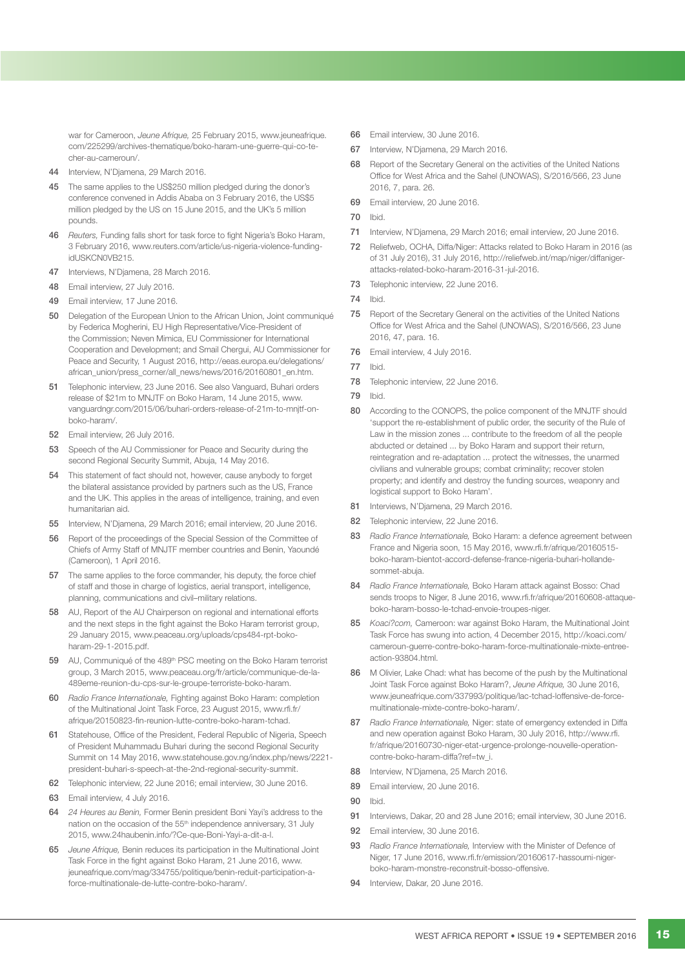war for Cameroon, *Jeune Afrique,* 25 February 2015, www.jeuneafrique. com/225299/archives-thematique/boko-haram-une-guerre-qui-co-techer-au-cameroun/.

- 44 Interview, N'Djamena, 29 March 2016.
- 45 The same applies to the US\$250 million pledged during the donor's conference convened in Addis Ababa on 3 February 2016, the US\$5 million pledged by the US on 15 June 2015, and the UK's 5 million pounds.
- 46 *Reuters,* Funding falls short for task force to fight Nigeria's Boko Haram, 3 February 2016, www.reuters.com/article/us-nigeria-violence-fundingidUSKCN0VB215.
- 47 Interviews, N'Djamena, 28 March 2016.
- 48 Email interview, 27 July 2016.
- 49 Email interview, 17 June 2016.
- 50 Delegation of the European Union to the African Union, Joint communiqué by Federica Mogherini, EU High Representative/Vice-President of the Commission; Neven Mimica, EU Commissioner for International Cooperation and Development; and Smail Chergui, AU Commissioner for Peace and Security, 1 August 2016, http://eeas.europa.eu/delegations/ african\_union/press\_corner/all\_news/news/2016/20160801\_en.htm.
- 51 Telephonic interview, 23 June 2016. See also Vanguard, Buhari orders release of \$21m to MNJTF on Boko Haram, 14 June 2015, www. vanguardngr.com/2015/06/buhari-orders-release-of-21m-to-mnjtf-onboko-haram/.
- 52 Email interview, 26 July 2016.
- 53 Speech of the AU Commissioner for Peace and Security during the second Regional Security Summit, Abuja, 14 May 2016.
- 54 This statement of fact should not, however, cause anybody to forget the bilateral assistance provided by partners such as the US, France and the UK. This applies in the areas of intelligence, training, and even humanitarian aid.
- 55 Interview, N'Djamena, 29 March 2016; email interview, 20 June 2016.
- 56 Report of the proceedings of the Special Session of the Committee of Chiefs of Army Staff of MNJTF member countries and Benin, Yaoundé (Cameroon), 1 April 2016.
- 57 The same applies to the force commander, his deputy, the force chief of staff and those in charge of logistics, aerial transport, intelligence, planning, communications and civil–military relations.
- 58 AU, Report of the AU Chairperson on regional and international efforts and the next steps in the fight against the Boko Haram terrorist group. 29 January 2015, www.peaceau.org/uploads/cps484-rpt-bokoharam-29-1-2015.pdf.
- 59 AU, Communiqué of the 489<sup>th</sup> PSC meeting on the Boko Haram terrorist group, 3 March 2015, www.peaceau.org/fr/article/communique-de-la-489eme-reunion-du-cps-sur-le-groupe-terroriste-boko-haram.
- 60 *Radio France Internationale,* Fighting against Boko Haram: completion of the Multinational Joint Task Force, 23 August 2015, www.rfi.fr/ afrique/20150823-fin-reunion-lutte-contre-boko-haram-tchad.
- 61 Statehouse, Office of the President, Federal Republic of Nigeria, Speech of President Muhammadu Buhari during the second Regional Security Summit on 14 May 2016, www.statehouse.gov.ng/index.php/news/2221 president-buhari-s-speech-at-the-2nd-regional-security-summit.
- 62 Telephonic interview, 22 June 2016; email interview, 30 June 2016.
- 63 Email interview, 4 July 2016.
- 64 *24 Heures au Benin,* Former Benin president Boni Yayi's address to the nation on the occasion of the 55<sup>th</sup> independence anniversary, 31 July 2015, www.24haubenin.info/?Ce-que-Boni-Yayi-a-dit-a-l.
- 65 *Jeune Afrique,* Benin reduces its participation in the Multinational Joint Task Force in the fight against Boko Haram, 21 June 2016, www. jeuneafrique.com/mag/334755/politique/benin-reduit-participation-aforce-multinationale-de-lutte-contre-boko-haram/.
- 66 Email interview, 30 June 2016.
- 67 Interview, N'Djamena, 29 March 2016.
- 68 Report of the Secretary General on the activities of the United Nations Office for West Africa and the Sahel (UNOWAS), S/2016/566, 23 June 2016, 7, para. 26.
- 69 Email interview, 20 June 2016.
- 70 Ibid.
- 71 Interview, N'Djamena, 29 March 2016; email interview, 20 June 2016.
- 72 Reliefweb, OCHA, Diffa/Niger: Attacks related to Boko Haram in 2016 (as of 31 July 2016), 31 July 2016, http://reliefweb.int/map/niger/diffanigerattacks-related-boko-haram-2016-31-jul-2016.
- 73 Telephonic interview, 22 June 2016.
- 74 Ibid.
- 75 Report of the Secretary General on the activities of the United Nations Office for West Africa and the Sahel (UNOWAS), S/2016/566, 23 June 2016, 47, para. 16.
- 76 Email interview, 4 July 2016.
- 77 Ibid.
- 78 Telephonic interview, 22 June 2016.
- 79 Ibid.
- 80 According to the CONOPS, the police component of the MNJTF should 'support the re-establishment of public order, the security of the Rule of Law in the mission zones ... contribute to the freedom of all the people abducted or detained ... by Boko Haram and support their return, reintegration and re-adaptation ... protect the witnesses, the unarmed civilians and vulnerable groups; combat criminality; recover stolen property; and identify and destroy the funding sources, weaponry and logistical support to Boko Haram'.
- 81 Interviews, N'Djamena, 29 March 2016.
- 82 Telephonic interview, 22 June 2016.
- 83 *Radio France Internationale,* Boko Haram: a defence agreement between France and Nigeria soon, 15 May 2016, www.rfi.fr/afrique/20160515 boko-haram-bientot-accord-defense-france-nigeria-buhari-hollandesommet-abuja.
- 84 *Radio France Internationale,* Boko Haram attack against Bosso: Chad sends troops to Niger, 8 June 2016, www.rfi.fr/afrique/20160608-attaqueboko-haram-bosso-le-tchad-envoie-troupes-niger.
- 85 *Koaci?com,* Cameroon: war against Boko Haram, the Multinational Joint Task Force has swung into action, 4 December 2015, http://koaci.com/ cameroun-guerre-contre-boko-haram-force-multinationale-mixte-entreeaction-93804.html.
- 86 M Olivier, Lake Chad: what has become of the push by the Multinational Joint Task Force against Boko Haram?, *Jeune Afrique,* 30 June 2016, www.jeuneafrique.com/337993/politique/lac-tchad-loffensive-de-forcemultinationale-mixte-contre-boko-haram/.
- 87 *Radio France Internationale,* Niger: state of emergency extended in Diffa and new operation against Boko Haram, 30 July 2016, http://www.rfi. fr/afrique/20160730-niger-etat-urgence-prolonge-nouvelle-operationcontre-boko-haram-diffa?ref=tw\_i.
- 88 Interview, N'Djamena, 25 March 2016.
- 89 Email interview, 20 June 2016.
- 90 Ibid.
- 91 Interviews, Dakar, 20 and 28 June 2016; email interview, 30 June 2016.
- 92 Email interview, 30 June 2016.
- 93 *Radio France Internationale, Interview with the Minister of Defence of* Niger, 17 June 2016, www.rfi.fr/emission/20160617-hassoumi-nigerboko-haram-monstre-reconstruit-bosso-offensive.
- 94 Interview, Dakar, 20 June 2016.